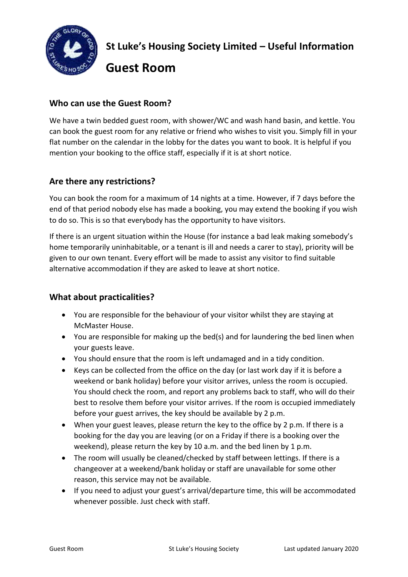

**St Luke's Housing Society Limited – Useful Information** 

**Guest Room**

## **Who can use the Guest Room?**

We have a twin bedded guest room, with shower/WC and wash hand basin, and kettle. You can book the guest room for any relative or friend who wishes to visit you. Simply fill in your flat number on the calendar in the lobby for the dates you want to book. It is helpful if you mention your booking to the office staff, especially if it is at short notice.

# **Are there any restrictions?**

You can book the room for a maximum of 14 nights at a time. However, if 7 days before the end of that period nobody else has made a booking, you may extend the booking if you wish to do so. This is so that everybody has the opportunity to have visitors.

If there is an urgent situation within the House (for instance a bad leak making somebody's home temporarily uninhabitable, or a tenant is ill and needs a carer to stay), priority will be given to our own tenant. Every effort will be made to assist any visitor to find suitable alternative accommodation if they are asked to leave at short notice.

### **What about practicalities?**

- You are responsible for the behaviour of your visitor whilst they are staying at McMaster House.
- You are responsible for making up the bed(s) and for laundering the bed linen when your guests leave.
- You should ensure that the room is left undamaged and in a tidy condition.
- Keys can be collected from the office on the day (or last work day if it is before a weekend or bank holiday) before your visitor arrives, unless the room is occupied. You should check the room, and report any problems back to staff, who will do their best to resolve them before your visitor arrives. If the room is occupied immediately before your guest arrives, the key should be available by 2 p.m.
- When your guest leaves, please return the key to the office by 2 p.m. If there is a booking for the day you are leaving (or on a Friday if there is a booking over the weekend), please return the key by 10 a.m. and the bed linen by 1 p.m.
- The room will usually be cleaned/checked by staff between lettings. If there is a changeover at a weekend/bank holiday or staff are unavailable for some other reason, this service may not be available.
- If you need to adjust your guest's arrival/departure time, this will be accommodated whenever possible. Just check with staff.